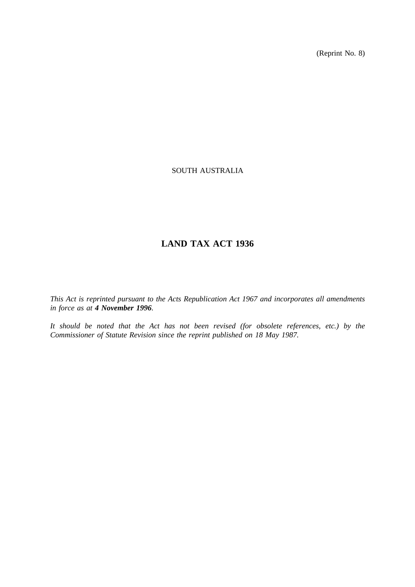(Reprint No. 8)

# SOUTH AUSTRALIA

# **LAND TAX ACT 1936**

*This Act is reprinted pursuant to the Acts Republication Act 1967 and incorporates all amendments in force as at 4 November 1996.*

*It should be noted that the Act has not been revised (for obsolete references, etc.) by the Commissioner of Statute Revision since the reprint published on 18 May 1987.*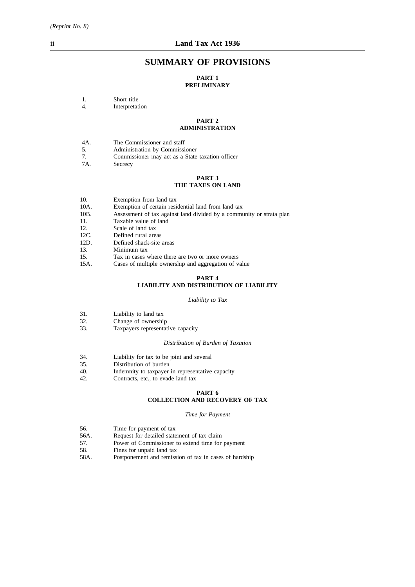# **SUMMARY OF PROVISIONS**

# **PART 1**

### **PRELIMINARY**

4. Interpretation

#### **PART 2 ADMINISTRATION**

| The Commissioner and staff<br>4A. |  |
|-----------------------------------|--|
|-----------------------------------|--|

- 5. Administration by Commissioner
- 7. Commissioner may act as a State taxation officer
- Secrecy

### **PART 3**

### **THE TAXES ON LAND**

| 10. | Exemption from land tax |  |  |  |
|-----|-------------------------|--|--|--|
|-----|-------------------------|--|--|--|

- 10A. Exemption of certain residential land from land tax<br>10B. Assessment of tax against land divided by a community
- Assessment of tax against land divided by a community or strata plan
- 11. Taxable value of land
- 12. Scale of land tax<br>12C. Defined rural are
- Defined rural areas
- 12D. Defined shack-site areas
- 13. Minimum tax<br>15. Tax in cases
- Tax in cases where there are two or more owners
- 15A. Cases of multiple ownership and aggregation of value

### **PART 4**

## **LIABILITY AND DISTRIBUTION OF LIABILITY**

#### *Liability to Tax*

- 31. Liability to land tax
- 32. Change of ownership
- 33. Taxpayers representative capacity

#### *Distribution of Burden of Taxation*

- 34. Liability for tax to be joint and several
- 35. Distribution of burden
- 40. Indemnity to taxpayer in representative capacity 42. Contracts, etc., to evade land tax
- Contracts, etc., to evade land tax

# **PART 6**

# **COLLECTION AND RECOVERY OF TAX**

*Time for Payment*

- 56. Time for payment of tax
- 56A. Request for detailed statement of tax claim<br>57. Power of Commissioner to extend time for
- Power of Commissioner to extend time for payment
- 58. Fines for unpaid land tax
- 58A. Postponement and remission of tax in cases of hardship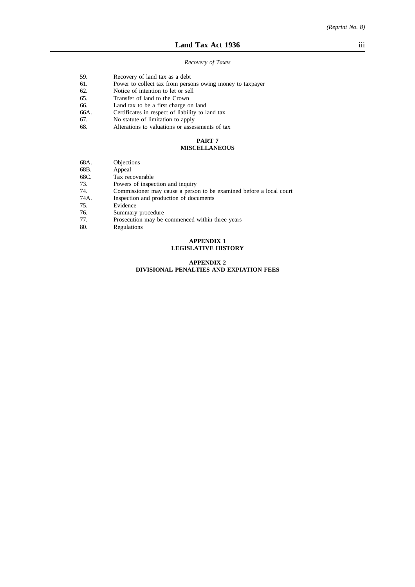#### *Recovery of Taxes*

- 59. Recovery of land tax as a debt
- 61. Power to collect tax from persons owing money to taxpayer
- 62. Notice of intention to let or sell<br>65. Transfer of land to the Crown
- 
- 65. Transfer of land to the Crown<br>66. Land tax to be a first charge of
- 66. Land tax to be a first charge on land<br>66A. Certificates in respect of liability to la 66A. Certificates in respect of liability to land tax 67. No statute of limitation to apply
- 67. No statute of limitation to apply<br>68. Alterations to valuations or asses
- Alterations to valuations or assessments of tax

#### **PART 7 MISCELLANEOUS**

# 68A. Objections

- 
- 68B. Appeal<br>68C. Tax rec Tax recoverable
- 73. Powers of inspection and inquiry
- 74. Commissioner may cause a person to be examined before a local court
- Inspection and production of documents
- 75. Evidence
- 76. Summary procedure<br>77. Prosecution may be
- Prosecution may be commenced within three years
- 80. Regulations

#### **APPENDIX 1 LEGISLATIVE HISTORY**

#### **APPENDIX 2 DIVISIONAL PENALTIES AND EXPIATION FEES**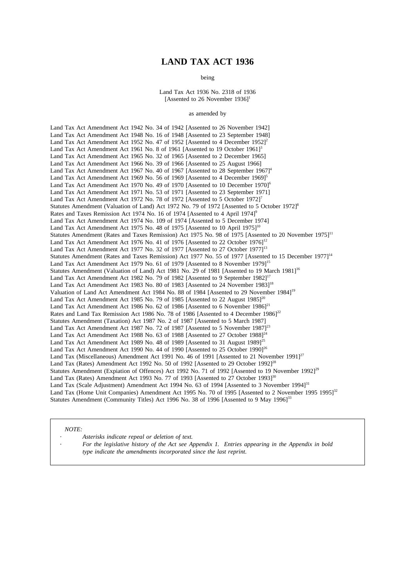# **LAND TAX ACT 1936**

being

Land Tax Act 1936 No. 2318 of 1936 [Assented to 26 November  $1936$ ]<sup>1</sup>

#### as amended by

Land Tax Act Amendment Act 1942 No. 34 of 1942 [Assented to 26 November 1942] Land Tax Act Amendment Act 1948 No. 16 of 1948 [Assented to 23 September 1948] Land Tax Act Amendment Act 1952 No. 47 of 1952 [Assented to 4 December 1952]<sup>2</sup> Land Tax Act Amendment Act 1961 No. 8 of 1961 [Assented to 19 October 1961]<sup>3</sup> Land Tax Act Amendment Act 1965 No. 32 of 1965 [Assented to 2 December 1965] Land Tax Act Amendment Act 1966 No. 39 of 1966 [Assented to 25 August 1966] Land Tax Act Amendment Act 1967 No. 40 of 1967 [Assented to 28 September  $19671^4$ Land Tax Act Amendment Act 1969 No. 56 of 1969 [Assented to 4 December 1969]<sup>5</sup> Land Tax Act Amendment Act 1970 No. 49 of 1970 [Assented to 10 December 1970]<sup>6</sup> Land Tax Act Amendment Act 1971 No. 53 of 1971 [Assented to 23 September 1971] Land Tax Act Amendment Act 1972 No. 78 of 1972 [Assented to 5 October 1972]<sup>7</sup> Statutes Amendment (Valuation of Land) Act 1972 No. 79 of 1972 [Assented to 5 October 1972]<sup>8</sup> Rates and Taxes Remission Act 1974 No. 16 of 1974 [Assented to 4 April 1974]<sup>9</sup> Land Tax Act Amendment Act 1974 No. 109 of 1974 [Assented to 5 December 1974] Land Tax Act Amendment Act 1975 No. 48 of 1975 [Assented to 10 April 1975]<sup>10</sup> Statutes Amendment (Rates and Taxes Remission) Act 1975 No. 98 of 1975 [Assented to 20 November 1975]<sup>11</sup> Land Tax Act Amendment Act 1976 No. 41 of 1976 [Assented to 22 October 1976]<sup>12</sup> Land Tax Act Amendment Act 1977 No. 32 of 1977 [Assented to 27 October 1977]<sup>13</sup> Statutes Amendment (Rates and Taxes Remission) Act 1977 No. 55 of 1977 [Assented to 15 December 1977]<sup>14</sup> Land Tax Act Amendment Act 1979 No. 61 of 1979 [Assented to 8 November 1979]<sup>15</sup> Statutes Amendment (Valuation of Land) Act 1981 No. 29 of 1981 [Assented to 19 March 1981]<sup>16</sup> Land Tax Act Amendment Act 1982 No. 79 of 1982 [Assented to 9 September 1982]<sup>17</sup> Land Tax Act Amendment Act 1983 No. 80 of 1983 [Assented to 24 November 1983]<sup>18</sup> Valuation of Land Act Amendment Act 1984 No. 88 of 1984 [Assented to 29 November 1984]19 Land Tax Act Amendment Act 1985 No. 79 of 1985 [Assented to 22 August  $1985$ ]<sup>20</sup> Land Tax Act Amendment Act 1986 No. 62 of 1986 [Assented to 6 November 1986]<sup>21</sup> Rates and Land Tax Remission Act 1986 No. 78 of 1986 [Assented to 4 December 1986]<sup>22</sup> Statutes Amendment (Taxation) Act 1987 No. 2 of 1987 [Assented to 5 March 1987] Land Tax Act Amendment Act 1987 No. 72 of 1987 [Assented to 5 November 1987]<sup>23</sup> Land Tax Act Amendment Act 1988 No.  $63$  of 1988 [Assented to 27 October 1988]<sup>24</sup> Land Tax Act Amendment Act 1989 No. 48 of 1989 [Assented to 31 August 1989]<sup>25</sup> Land Tax Act Amendment Act 1990 No. 44 of 1990 [Assented to 25 October 1990]<sup>26</sup> Land Tax (Miscellaneous) Amendment Act 1991 No. 46 of 1991 [Assented to 21 November 1991]<sup>27</sup> Land Tax (Rates) Amendment Act 1992 No. 50 of 1992 [Assented to 29 October 1992]<sup>28</sup> Statutes Amendment (Expiation of Offences) Act 1992 No. 71 of 1992 [Assented to 19 November 1992]<sup>29</sup> Land Tax (Rates) Amendment Act 1993 No. 77 of 1993 [Assented to 27 October 1993]<sup>30</sup> Land Tax (Scale Adjustment) Amendment Act 1994 No. 63 of 1994 [Assented to 3 November 1994]<sup>31</sup> Land Tax (Home Unit Companies) Amendment Act 1995 No. 70 of 1995 [Assented to 2 November 1995 1995]<sup>32</sup> Statutes Amendment (Community Titles) Act 1996 No. 38 of 1996 [Assented to 9 May 1996]<sup>33</sup>

*NOTE:*

*Asterisks indicate repeal or deletion of text.*

*For the legislative history of the Act see Appendix 1. Entries appearing in the Appendix in bold type indicate the amendments incorporated since the last reprint.*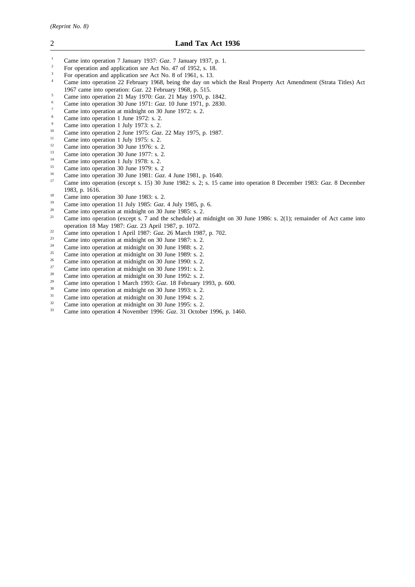- <sup>1</sup> Came into operation 7 January 1937: *Gaz*. 7 January 1937, p. 1.<br><sup>2</sup> Equipments and application asset at No. 47 of 1952, s. 18
- <sup>2</sup> For operation and application *see* Act No. 47 of 1952, s. 18.
- <sup>3</sup> For operation and application *see* Act No. 8 of 1961, s. 13.
- Came into operation 22 February 1968, being the day on which the Real Property Act Amendment (Strata Titles) Act 1967 came into operation: *Gaz*. 22 February 1968, p. 515.
- <sup>5</sup> Came into operation 21 May 1970: *Gaz*. 21 May 1970, p. 1842.
- <sup>6</sup> Came into operation 30 June 1971: *Gaz*. 10 June 1971, p. 2830.
- $\frac{7}{8}$  Came into operation at midnight on 30 June 1972: s. 2.
- Came into operation 1 June 1972: s. 2.
- <sup>9</sup> Came into operation 1 July 1973: s. 2.<br><sup>10</sup> Came into operation 2 June 1975: Car
- <sup>10</sup> Came into operation 2 June 1975: *Gaz*. 22 May 1975, p. 1987.
- <sup>11</sup> Came into operation 1 July 1975: s. 2.
- <sup>12</sup> Came into operation 30 June 1976: s. 2.<br>
Come into operation 20 June 1977: s. 2.
- $\frac{13}{14}$  Came into operation 30 June 1977: s. 2.
- <sup>14</sup> Came into operation 1 July 1978: s. 2.
- <sup>15</sup> Came into operation 30 June 1979: s. 2<sup>16</sup>
- <sup>16</sup> Came into operation 30 June 1981: *Gaz*. 4 June 1981, p. 1640.
- <sup>17</sup> Came into operation (except s. 15) 30 June 1982: s. 2; s. 15 came into operation 8 December 1983: *Gaz*. 8 December 1983, p. 1616.
- <sup>18</sup> Came into operation 30 June 1983: s. 2.<br><sup>19</sup> Came into operation 11 July 1985: C
- <sup>19</sup> Came into operation 11 July 1985: *Gaz*. 4 July 1985, p. 6.<br><sup>20</sup> Came into aggressive at midnight an <sup>20</sup> June 1095.
- <sup>20</sup> Came into operation at midnight on 30 June 1985: s.  $\hat{2}$ .<br><sup>21</sup> Came into operation (queent a  $\hat{2}$  and the schoolale) at a
- <sup>21</sup> Came into operation (except s. 7 and the schedule) at midnight on 30 June 1986: s. 2(1); remainder of Act came into operation 18 May 1987: *Gaz*. 23 April 1987, p. 1072.
- <sup>22</sup> Came into operation 1 April 1987:  $Gaz$ . 26 March 1987, p. 702.<br>
<sup>23</sup> Came into operation at midnight on 20 June 1987: c. 2
- <sup>23</sup> Came into operation at midnight on 30 June 1987: s. 2.<br><sup>24</sup> C
- <sup>24</sup> Came into operation at midnight on 30 June 1988: s. 2.<br>
Come into operation at midnight on 20 June 1980: s. 2.
- <sup>25</sup> Came into operation at midnight on 30 June 1989: s. 2.<br> $\frac{26}{2}$  Came into operation at midnight on 20 June 1999: s. 2.
- <sup>26</sup> Came into operation at midnight on 30 June 1990: s. 2.<br>
<sup>27</sup>
- <sup>27</sup> Came into operation at midnight on 30 June 1991: s. 2.<br><sup>28</sup>
- <sup>28</sup> Came into operation at midnight on 30 June 1992: s. 2.<br><sup>29</sup> Came into a partice 1 March 1992:  $C_{\text{max}}$  19 February 1
- <sup>29</sup> Came into operation 1 March 1993: *Gaz*. 18 February 1993, p. 600.
- $^{30}$  Came into operation at midnight on 30 June 1993: s. 2.<br> $^{31}$  Came into operation at midnight on 20 June 1994: s. 2.
- <sup>31</sup> Came into operation at midnight on 30 June 1994: s. 2.<br>Came into operation at midnight on 30 June 1995: s. 2.
- <sup>32</sup> Came into operation at midnight on 30 June 1995: s. 2.<br>Came into operation 4 November 1996: Gaz <sup>31</sup> October
- <sup>33</sup> Came into operation 4 November 1996: *Gaz*. 31 October 1996, p. 1460.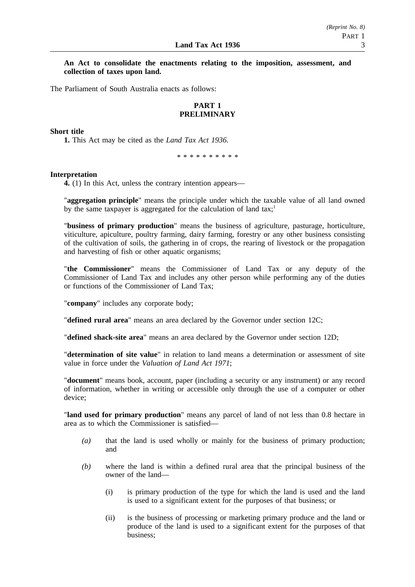### **An Act to consolidate the enactments relating to the imposition, assessment, and collection of taxes upon land.**

The Parliament of South Australia enacts as follows:

# **PART 1 PRELIMINARY**

### **Short title**

**1.** This Act may be cited as the *Land Tax Act 1936*.

\*\*\*\*\*\*\*\*\*\*

#### **Interpretation**

**4.** (1) In this Act, unless the contrary intention appears—

"**aggregation principle**" means the principle under which the taxable value of all land owned by the same taxpayer is aggregated for the calculation of land tax;<sup>1</sup>

"**business of primary production**" means the business of agriculture, pasturage, horticulture, viticulture, apiculture, poultry farming, dairy farming, forestry or any other business consisting of the cultivation of soils, the gathering in of crops, the rearing of livestock or the propagation and harvesting of fish or other aquatic organisms;

"**the Commissioner**" means the Commissioner of Land Tax or any deputy of the Commissioner of Land Tax and includes any other person while performing any of the duties or functions of the Commissioner of Land Tax;

"**company**" includes any corporate body;

"**defined rural area**" means an area declared by the Governor under section 12C;

"**defined shack-site area**" means an area declared by the Governor under section 12D;

"**determination of site value**" in relation to land means a determination or assessment of site value in force under the *Valuation of Land Act 1971*;

"**document**" means book, account, paper (including a security or any instrument) or any record of information, whether in writing or accessible only through the use of a computer or other device;

"**land used for primary production**" means any parcel of land of not less than 0.8 hectare in area as to which the Commissioner is satisfied—

- *(a)* that the land is used wholly or mainly for the business of primary production; and
- *(b)* where the land is within a defined rural area that the principal business of the owner of the land—
	- (i) is primary production of the type for which the land is used and the land is used to a significant extent for the purposes of that business; or
	- (ii) is the business of processing or marketing primary produce and the land or produce of the land is used to a significant extent for the purposes of that business;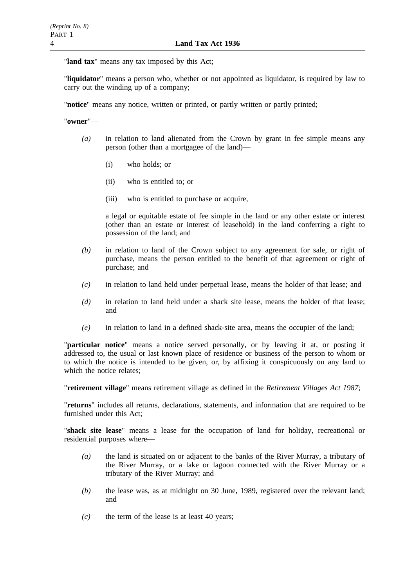"**land tax**" means any tax imposed by this Act;

"**liquidator**" means a person who, whether or not appointed as liquidator, is required by law to carry out the winding up of a company;

"**notice**" means any notice, written or printed, or partly written or partly printed;

"**owner**"—

- *(a)* in relation to land alienated from the Crown by grant in fee simple means any person (other than a mortgagee of the land)—
	- (i) who holds; or
	- (ii) who is entitled to; or
	- (iii) who is entitled to purchase or acquire,

a legal or equitable estate of fee simple in the land or any other estate or interest (other than an estate or interest of leasehold) in the land conferring a right to possession of the land; and

- *(b)* in relation to land of the Crown subject to any agreement for sale, or right of purchase, means the person entitled to the benefit of that agreement or right of purchase; and
- *(c)* in relation to land held under perpetual lease, means the holder of that lease; and
- *(d)* in relation to land held under a shack site lease, means the holder of that lease; and
- *(e)* in relation to land in a defined shack-site area, means the occupier of the land;

"**particular notice**" means a notice served personally, or by leaving it at, or posting it addressed to, the usual or last known place of residence or business of the person to whom or to which the notice is intended to be given, or, by affixing it conspicuously on any land to which the notice relates;

"**retirement village**" means retirement village as defined in the *Retirement Villages Act 1987*;

"**returns**" includes all returns, declarations, statements, and information that are required to be furnished under this Act;

"**shack site lease**" means a lease for the occupation of land for holiday, recreational or residential purposes where—

- *(a)* the land is situated on or adjacent to the banks of the River Murray, a tributary of the River Murray, or a lake or lagoon connected with the River Murray or a tributary of the River Murray; and
- *(b)* the lease was, as at midnight on 30 June, 1989, registered over the relevant land; and
- *(c)* the term of the lease is at least 40 years;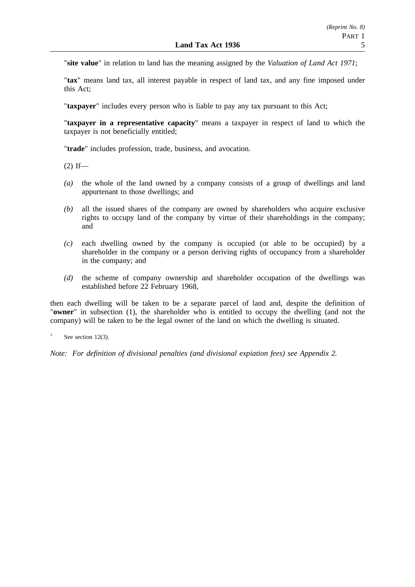"**site value**" in relation to land has the meaning assigned by the *Valuation of Land Act 1971*;

"**tax**" means land tax, all interest payable in respect of land tax, and any fine imposed under this Act;

"**taxpayer**" includes every person who is liable to pay any tax pursuant to this Act;

"**taxpayer in a representative capacity**" means a taxpayer in respect of land to which the taxpayer is not beneficially entitled;

"**trade**" includes profession, trade, business, and avocation.

 $(2)$  If—

- *(a)* the whole of the land owned by a company consists of a group of dwellings and land appurtenant to those dwellings; and
- *(b)* all the issued shares of the company are owned by shareholders who acquire exclusive rights to occupy land of the company by virtue of their shareholdings in the company; and
- *(c)* each dwelling owned by the company is occupied (or able to be occupied) by a shareholder in the company or a person deriving rights of occupancy from a shareholder in the company; and
- *(d)* the scheme of company ownership and shareholder occupation of the dwellings was established before 22 February 1968,

then each dwelling will be taken to be a separate parcel of land and, despite the definition of "**owner**" in subsection (1), the shareholder who is entitled to occupy the dwelling (and not the company) will be taken to be the legal owner of the land on which the dwelling is situated.

<sup>1.</sup> See section 12(3).

*Note: For definition of divisional penalties (and divisional expiation fees) see Appendix 2.*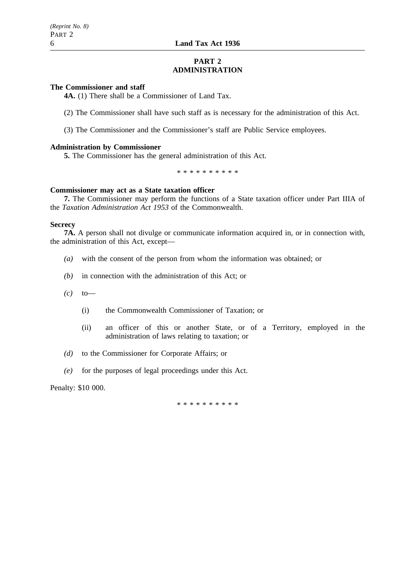# **PART 2 ADMINISTRATION**

### **The Commissioner and staff**

**4A.** (1) There shall be a Commissioner of Land Tax.

(2) The Commissioner shall have such staff as is necessary for the administration of this Act.

(3) The Commissioner and the Commissioner's staff are Public Service employees.

### **Administration by Commissioner**

**5.** The Commissioner has the general administration of this Act.

\*\*\*\*\*\*\*\*\*\*

### **Commissioner may act as a State taxation officer**

**7.** The Commissioner may perform the functions of a State taxation officer under Part IIIA of the *Taxation Administration Act 1953* of the Commonwealth.

### **Secrecy**

**7A.** A person shall not divulge or communicate information acquired in, or in connection with, the administration of this Act, except—

- *(a)* with the consent of the person from whom the information was obtained; or
- *(b)* in connection with the administration of this Act; or
- *(c)* to—
	- (i) the Commonwealth Commissioner of Taxation; or
	- (ii) an officer of this or another State, or of a Territory, employed in the administration of laws relating to taxation; or
- *(d)* to the Commissioner for Corporate Affairs; or
- *(e)* for the purposes of legal proceedings under this Act.

Penalty: \$10 000.

\*\*\*\*\*\*\*\*\*\*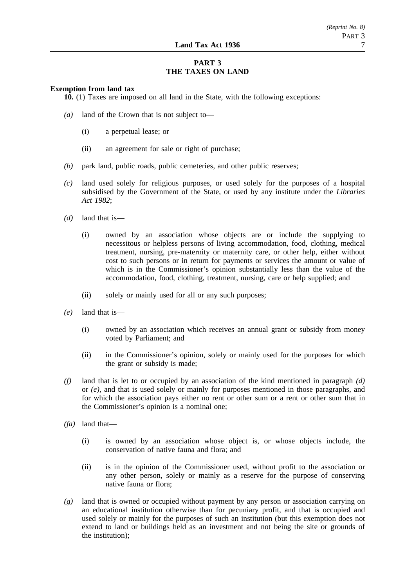# **PART 3 THE TAXES ON LAND**

### **Exemption from land tax**

**10.** (1) Taxes are imposed on all land in the State, with the following exceptions:

- *(a)* land of the Crown that is not subject to—
	- (i) a perpetual lease; or
	- (ii) an agreement for sale or right of purchase;
- *(b)* park land, public roads, public cemeteries, and other public reserves;
- *(c)* land used solely for religious purposes, or used solely for the purposes of a hospital subsidised by the Government of the State, or used by any institute under the *Libraries Act 1982*;
- *(d)* land that is—
	- (i) owned by an association whose objects are or include the supplying to necessitous or helpless persons of living accommodation, food, clothing, medical treatment, nursing, pre-maternity or maternity care, or other help, either without cost to such persons or in return for payments or services the amount or value of which is in the Commissioner's opinion substantially less than the value of the accommodation, food, clothing, treatment, nursing, care or help supplied; and
	- (ii) solely or mainly used for all or any such purposes;
- *(e)* land that is—
	- (i) owned by an association which receives an annual grant or subsidy from money voted by Parliament; and
	- (ii) in the Commissioner's opinion, solely or mainly used for the purposes for which the grant or subsidy is made;
- *(f)* land that is let to or occupied by an association of the kind mentioned in paragraph *(d)* or *(e)*, and that is used solely or mainly for purposes mentioned in those paragraphs, and for which the association pays either no rent or other sum or a rent or other sum that in the Commissioner's opinion is a nominal one;
- *(fa)* land that—
	- (i) is owned by an association whose object is, or whose objects include, the conservation of native fauna and flora; and
	- (ii) is in the opinion of the Commissioner used, without profit to the association or any other person, solely or mainly as a reserve for the purpose of conserving native fauna or flora;
- *(g)* land that is owned or occupied without payment by any person or association carrying on an educational institution otherwise than for pecuniary profit, and that is occupied and used solely or mainly for the purposes of such an institution (but this exemption does not extend to land or buildings held as an investment and not being the site or grounds of the institution);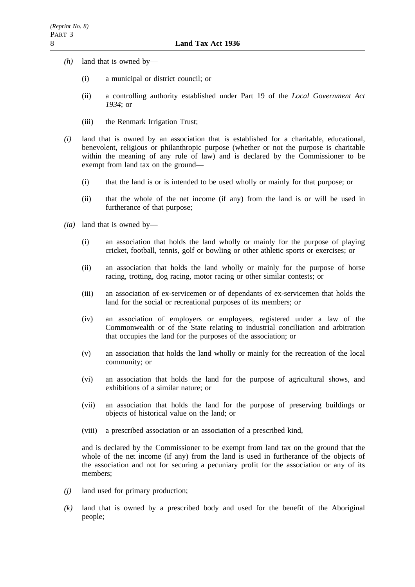- *(h)* land that is owned by—
	- (i) a municipal or district council; or
	- (ii) a controlling authority established under Part 19 of the *Local Government Act 1934*; or
	- (iii) the Renmark Irrigation Trust;
- *(i)* land that is owned by an association that is established for a charitable, educational, benevolent, religious or philanthropic purpose (whether or not the purpose is charitable within the meaning of any rule of law) and is declared by the Commissioner to be exempt from land tax on the ground—
	- (i) that the land is or is intended to be used wholly or mainly for that purpose; or
	- (ii) that the whole of the net income (if any) from the land is or will be used in furtherance of that purpose;
- *(ia)* land that is owned by—
	- (i) an association that holds the land wholly or mainly for the purpose of playing cricket, football, tennis, golf or bowling or other athletic sports or exercises; or
	- (ii) an association that holds the land wholly or mainly for the purpose of horse racing, trotting, dog racing, motor racing or other similar contests; or
	- (iii) an association of ex-servicemen or of dependants of ex-servicemen that holds the land for the social or recreational purposes of its members; or
	- (iv) an association of employers or employees, registered under a law of the Commonwealth or of the State relating to industrial conciliation and arbitration that occupies the land for the purposes of the association; or
	- (v) an association that holds the land wholly or mainly for the recreation of the local community; or
	- (vi) an association that holds the land for the purpose of agricultural shows, and exhibitions of a similar nature; or
	- (vii) an association that holds the land for the purpose of preserving buildings or objects of historical value on the land; or
	- (viii) a prescribed association or an association of a prescribed kind,

and is declared by the Commissioner to be exempt from land tax on the ground that the whole of the net income (if any) from the land is used in furtherance of the objects of the association and not for securing a pecuniary profit for the association or any of its members;

- *(j)* land used for primary production;
- *(k)* land that is owned by a prescribed body and used for the benefit of the Aboriginal people;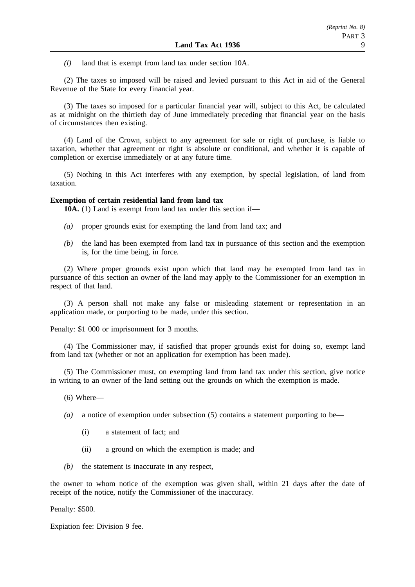*(l)* land that is exempt from land tax under section 10A.

(2) The taxes so imposed will be raised and levied pursuant to this Act in aid of the General Revenue of the State for every financial year.

(3) The taxes so imposed for a particular financial year will, subject to this Act, be calculated as at midnight on the thirtieth day of June immediately preceding that financial year on the basis of circumstances then existing.

(4) Land of the Crown, subject to any agreement for sale or right of purchase, is liable to taxation, whether that agreement or right is absolute or conditional, and whether it is capable of completion or exercise immediately or at any future time.

(5) Nothing in this Act interferes with any exemption, by special legislation, of land from taxation.

### **Exemption of certain residential land from land tax**

**10A.** (1) Land is exempt from land tax under this section if—

- *(a)* proper grounds exist for exempting the land from land tax; and
- *(b)* the land has been exempted from land tax in pursuance of this section and the exemption is, for the time being, in force.

(2) Where proper grounds exist upon which that land may be exempted from land tax in pursuance of this section an owner of the land may apply to the Commissioner for an exemption in respect of that land.

(3) A person shall not make any false or misleading statement or representation in an application made, or purporting to be made, under this section.

Penalty: \$1 000 or imprisonment for 3 months.

(4) The Commissioner may, if satisfied that proper grounds exist for doing so, exempt land from land tax (whether or not an application for exemption has been made).

(5) The Commissioner must, on exempting land from land tax under this section, give notice in writing to an owner of the land setting out the grounds on which the exemption is made.

- (6) Where—
- *(a)* a notice of exemption under subsection (5) contains a statement purporting to be—
	- (i) a statement of fact; and
	- (ii) a ground on which the exemption is made; and
- *(b)* the statement is inaccurate in any respect,

the owner to whom notice of the exemption was given shall, within 21 days after the date of receipt of the notice, notify the Commissioner of the inaccuracy.

Penalty: \$500.

Expiation fee: Division 9 fee.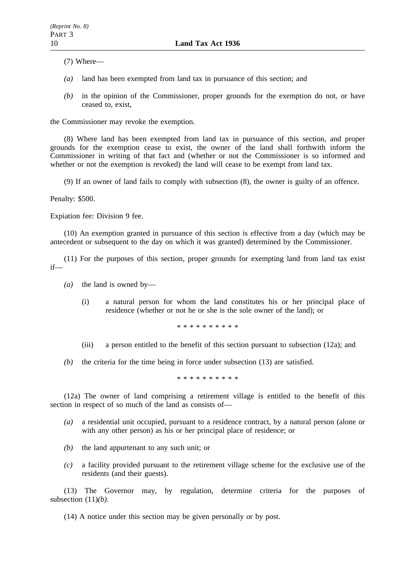(7) Where—

- *(a)* land has been exempted from land tax in pursuance of this section; and
- *(b)* in the opinion of the Commissioner, proper grounds for the exemption do not, or have ceased to, exist,

the Commissioner may revoke the exemption.

(8) Where land has been exempted from land tax in pursuance of this section, and proper grounds for the exemption cease to exist, the owner of the land shall forthwith inform the Commissioner in writing of that fact and (whether or not the Commissioner is so informed and whether or not the exemption is revoked) the land will cease to be exempt from land tax.

(9) If an owner of land fails to comply with subsection (8), the owner is guilty of an offence.

Penalty: \$500.

Expiation fee: Division 9 fee.

(10) An exemption granted in pursuance of this section is effective from a day (which may be antecedent or subsequent to the day on which it was granted) determined by the Commissioner.

(11) For the purposes of this section, proper grounds for exempting land from land tax exist if—

- *(a)* the land is owned by—
	- (i) a natural person for whom the land constitutes his or her principal place of residence (whether or not he or she is the sole owner of the land); or

\*\*\*\*\*\*\*\*\*\*

- (iii) a person entitled to the benefit of this section pursuant to subsection (12a); and
- *(b)* the criteria for the time being in force under subsection (13) are satisfied.

\*\*\*\*\*\*\*\*\*\*

(12a) The owner of land comprising a retirement village is entitled to the benefit of this section in respect of so much of the land as consists of—

- *(a)* a residential unit occupied, pursuant to a residence contract, by a natural person (alone or with any other person) as his or her principal place of residence; or
- *(b)* the land appurtenant to any such unit; or
- *(c)* a facility provided pursuant to the retirement village scheme for the exclusive use of the residents (and their guests).

(13) The Governor may, by regulation, determine criteria for the purposes of subsection (11)*(b)*.

(14) A notice under this section may be given personally or by post.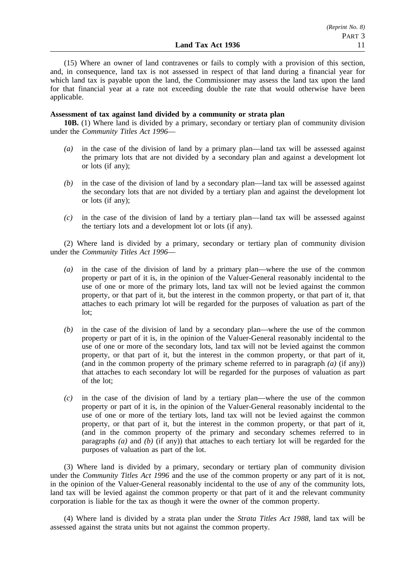(15) Where an owner of land contravenes or fails to comply with a provision of this section, and, in consequence, land tax is not assessed in respect of that land during a financial year for which land tax is payable upon the land, the Commissioner may assess the land tax upon the land for that financial year at a rate not exceeding double the rate that would otherwise have been applicable.

### **Assessment of tax against land divided by a community or strata plan**

**10B.** (1) Where land is divided by a primary, secondary or tertiary plan of community division under the *Community Titles Act 1996*—

- *(a)* in the case of the division of land by a primary plan—land tax will be assessed against the primary lots that are not divided by a secondary plan and against a development lot or lots (if any);
- *(b)* in the case of the division of land by a secondary plan—land tax will be assessed against the secondary lots that are not divided by a tertiary plan and against the development lot or lots (if any);
- *(c)* in the case of the division of land by a tertiary plan—land tax will be assessed against the tertiary lots and a development lot or lots (if any).

(2) Where land is divided by a primary, secondary or tertiary plan of community division under the *Community Titles Act 1996*—

- *(a)* in the case of the division of land by a primary plan—where the use of the common property or part of it is, in the opinion of the Valuer-General reasonably incidental to the use of one or more of the primary lots, land tax will not be levied against the common property, or that part of it, but the interest in the common property, or that part of it, that attaches to each primary lot will be regarded for the purposes of valuation as part of the lot;
- *(b)* in the case of the division of land by a secondary plan—where the use of the common property or part of it is, in the opinion of the Valuer-General reasonably incidental to the use of one or more of the secondary lots, land tax will not be levied against the common property, or that part of it, but the interest in the common property, or that part of it, (and in the common property of the primary scheme referred to in paragraph *(a)* (if any)) that attaches to each secondary lot will be regarded for the purposes of valuation as part of the lot;
- *(c)* in the case of the division of land by a tertiary plan—where the use of the common property or part of it is, in the opinion of the Valuer-General reasonably incidental to the use of one or more of the tertiary lots, land tax will not be levied against the common property, or that part of it, but the interest in the common property, or that part of it, (and in the common property of the primary and secondary schemes referred to in paragraphs *(a)* and *(b)* (if any)) that attaches to each tertiary lot will be regarded for the purposes of valuation as part of the lot.

(3) Where land is divided by a primary, secondary or tertiary plan of community division under the *Community Titles Act 1996* and the use of the common property or any part of it is not, in the opinion of the Valuer-General reasonably incidental to the use of any of the community lots, land tax will be levied against the common property or that part of it and the relevant community corporation is liable for the tax as though it were the owner of the common property.

(4) Where land is divided by a strata plan under the *Strata Titles Act 1988*, land tax will be assessed against the strata units but not against the common property.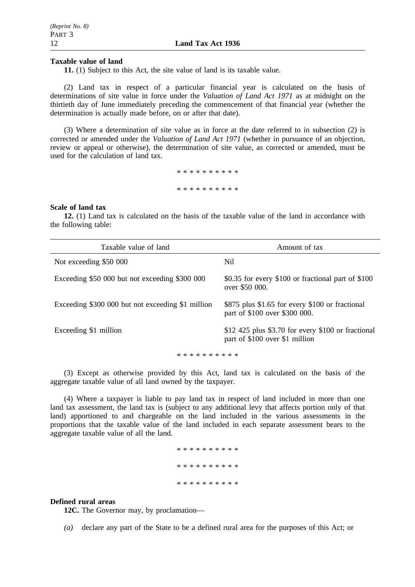#### **Taxable value of land**

**11.** (1) Subject to this Act, the site value of land is its taxable value.

(2) Land tax in respect of a particular financial year is calculated on the basis of determinations of site value in force under the *Valuation of Land Act 1971* as at midnight on the thirtieth day of June immediately preceding the commencement of that financial year (whether the determination is actually made before, on or after that date).

(3) Where a determination of site value as in force at the date referred to in subsection (2) is corrected or amended under the *Valuation of Land Act 1971* (whether in pursuance of an objection, review or appeal or otherwise), the determination of site value, as corrected or amended, must be used for the calculation of land tax.

> \*\*\*\*\*\*\*\*\*\* \*\*\*\*\*\*\*\*\*\*

#### **Scale of land tax**

**12.** (1) Land tax is calculated on the basis of the taxable value of the land in accordance with the following table:

| Taxable value of land                             | Amount of tax                                                                        |  |  |  |
|---------------------------------------------------|--------------------------------------------------------------------------------------|--|--|--|
| Not exceeding \$50 000                            | Nil                                                                                  |  |  |  |
| Exceeding \$50 000 but not exceeding \$300 000    | \$0.35 for every \$100 or fractional part of \$100<br>over \$50 000.                 |  |  |  |
| Exceeding \$300 000 but not exceeding \$1 million | \$875 plus \$1.65 for every \$100 or fractional<br>part of \$100 over \$300 000.     |  |  |  |
| Exceeding \$1 million                             | \$12 425 plus \$3.70 for every \$100 or fractional<br>part of \$100 over \$1 million |  |  |  |
| * * * * * * * * * *                               |                                                                                      |  |  |  |

(3) Except as otherwise provided by this Act, land tax is calculated on the basis of the aggregate taxable value of all land owned by the taxpayer.

(4) Where a taxpayer is liable to pay land tax in respect of land included in more than one land tax assessment, the land tax is (subject to any additional levy that affects portion only of that land) apportioned to and chargeable on the land included in the various assessments in the proportions that the taxable value of the land included in each separate assessment bears to the aggregate taxable value of all the land.

> \*\*\*\*\*\*\*\*\*\* \*\*\*\*\*\*\*\*\*\* \*\*\*\*\*\*\*\*\*\*

#### **Defined rural areas**

**12C.** The Governor may, by proclamation—

*(a)* declare any part of the State to be a defined rural area for the purposes of this Act; or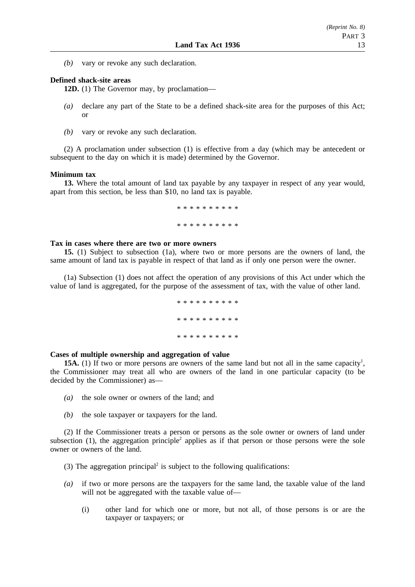*(b)* vary or revoke any such declaration.

### **Defined shack-site areas**

**12D.** (1) The Governor may, by proclamation—

- *(a)* declare any part of the State to be a defined shack-site area for the purposes of this Act; or
- *(b)* vary or revoke any such declaration.

(2) A proclamation under subsection (1) is effective from a day (which may be antecedent or subsequent to the day on which it is made) determined by the Governor.

#### **Minimum tax**

**13.** Where the total amount of land tax payable by any taxpayer in respect of any year would, apart from this section, be less than \$10, no land tax is payable.

> \*\*\*\*\*\*\*\*\*\* \*\*\*\*\*\*\*\*\*\*

### **Tax in cases where there are two or more owners**

**15.** (1) Subject to subsection (1a), where two or more persons are the owners of land, the same amount of land tax is payable in respect of that land as if only one person were the owner.

(1a) Subsection (1) does not affect the operation of any provisions of this Act under which the value of land is aggregated, for the purpose of the assessment of tax, with the value of other land.

> \*\*\*\*\*\*\*\*\*\* \*\*\*\*\*\*\*\*\*\* \*\*\*\*\*\*\*\*\*\*

### **Cases of multiple ownership and aggregation of value**

**15A.** (1) If two or more persons are owners of the same land but not all in the same capacity<sup>1</sup>, the Commissioner may treat all who are owners of the land in one particular capacity (to be decided by the Commissioner) as—

- *(a)* the sole owner or owners of the land; and
- *(b)* the sole taxpayer or taxpayers for the land.

(2) If the Commissioner treats a person or persons as the sole owner or owners of land under subsection (1), the aggregation principle<sup>2</sup> applies as if that person or those persons were the sole owner or owners of the land.

- (3) The aggregation principal<sup>2</sup> is subject to the following qualifications:
- *(a)* if two or more persons are the taxpayers for the same land, the taxable value of the land will not be aggregated with the taxable value of—
	- (i) other land for which one or more, but not all, of those persons is or are the taxpayer or taxpayers; or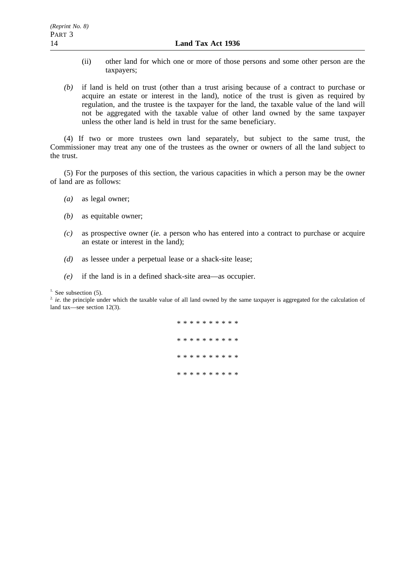- (ii) other land for which one or more of those persons and some other person are the taxpayers;
- *(b)* if land is held on trust (other than a trust arising because of a contract to purchase or acquire an estate or interest in the land), notice of the trust is given as required by regulation, and the trustee is the taxpayer for the land, the taxable value of the land will not be aggregated with the taxable value of other land owned by the same taxpayer unless the other land is held in trust for the same beneficiary.

(4) If two or more trustees own land separately, but subject to the same trust, the Commissioner may treat any one of the trustees as the owner or owners of all the land subject to the trust.

(5) For the purposes of this section, the various capacities in which a person may be the owner of land are as follows:

- *(a)* as legal owner;
- *(b)* as equitable owner;
- *(c)* as prospective owner (*ie.* a person who has entered into a contract to purchase or acquire an estate or interest in the land);
- *(d)* as lessee under a perpetual lease or a shack-site lease;
- *(e)* if the land is in a defined shack-site area—as occupier.

 $1.$  See subsection (5).

<sup>2</sup> *ie*. the principle under which the taxable value of all land owned by the same taxpayer is aggregated for the calculation of land tax—see section 12(3).

> \*\*\*\*\*\*\*\*\*\* \* \* \* \* \* \* \* \* \* \*\*\*\*\*\*\*\*\*\* \*\*\*\*\*\*\*\*\*\*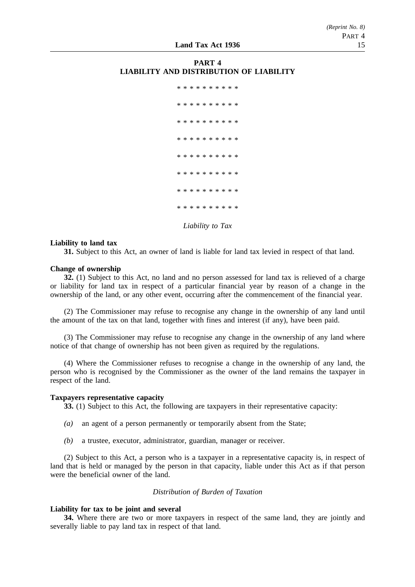## **PART 4 LIABILITY AND DISTRIBUTION OF LIABILITY**



*Liability to Tax*

#### **Liability to land tax**

**31.** Subject to this Act, an owner of land is liable for land tax levied in respect of that land.

### **Change of ownership**

**32.** (1) Subject to this Act, no land and no person assessed for land tax is relieved of a charge or liability for land tax in respect of a particular financial year by reason of a change in the ownership of the land, or any other event, occurring after the commencement of the financial year.

(2) The Commissioner may refuse to recognise any change in the ownership of any land until the amount of the tax on that land, together with fines and interest (if any), have been paid.

(3) The Commissioner may refuse to recognise any change in the ownership of any land where notice of that change of ownership has not been given as required by the regulations.

(4) Where the Commissioner refuses to recognise a change in the ownership of any land, the person who is recognised by the Commissioner as the owner of the land remains the taxpayer in respect of the land.

#### **Taxpayers representative capacity**

**33.** (1) Subject to this Act, the following are taxpayers in their representative capacity:

- *(a)* an agent of a person permanently or temporarily absent from the State;
- *(b)* a trustee, executor, administrator, guardian, manager or receiver.

(2) Subject to this Act, a person who is a taxpayer in a representative capacity is, in respect of land that is held or managed by the person in that capacity, liable under this Act as if that person were the beneficial owner of the land.

### *Distribution of Burden of Taxation*

### **Liability for tax to be joint and several**

**34.** Where there are two or more taxpayers in respect of the same land, they are jointly and severally liable to pay land tax in respect of that land.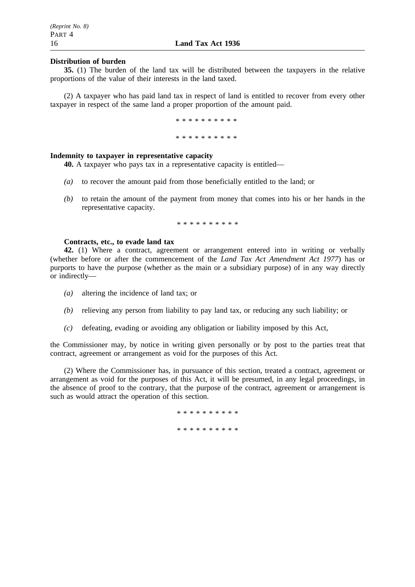### **Distribution of burden**

**35.** (1) The burden of the land tax will be distributed between the taxpayers in the relative proportions of the value of their interests in the land taxed.

(2) A taxpayer who has paid land tax in respect of land is entitled to recover from every other taxpayer in respect of the same land a proper proportion of the amount paid.

> \*\*\*\*\*\*\*\*\*\* \*\*\*\*\*\*\*\*\*\*

## **Indemnity to taxpayer in representative capacity**

**40.** A taxpayer who pays tax in a representative capacity is entitled—

- *(a)* to recover the amount paid from those beneficially entitled to the land; or
- *(b)* to retain the amount of the payment from money that comes into his or her hands in the representative capacity.

\*\*\*\*\*\*\*\*\*\*

### **Contracts, etc., to evade land tax**

**42.** (1) Where a contract, agreement or arrangement entered into in writing or verbally (whether before or after the commencement of the *Land Tax Act Amendment Act 1977*) has or purports to have the purpose (whether as the main or a subsidiary purpose) of in any way directly or indirectly—

- *(a)* altering the incidence of land tax; or
- *(b)* relieving any person from liability to pay land tax, or reducing any such liability; or
- *(c)* defeating, evading or avoiding any obligation or liability imposed by this Act,

the Commissioner may, by notice in writing given personally or by post to the parties treat that contract, agreement or arrangement as void for the purposes of this Act.

(2) Where the Commissioner has, in pursuance of this section, treated a contract, agreement or arrangement as void for the purposes of this Act, it will be presumed, in any legal proceedings, in the absence of proof to the contrary, that the purpose of the contract, agreement or arrangement is such as would attract the operation of this section.

\* \* \* \* \* \* \* \* \*

\*\*\*\*\*\*\*\*\*\*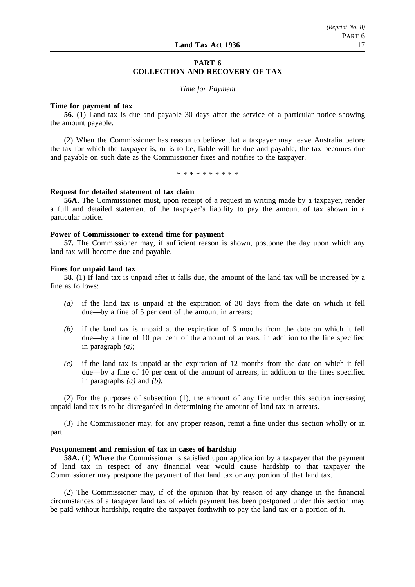# **PART 6 COLLECTION AND RECOVERY OF TAX**

#### *Time for Payment*

### **Time for payment of tax**

**56.** (1) Land tax is due and payable 30 days after the service of a particular notice showing the amount payable.

(2) When the Commissioner has reason to believe that a taxpayer may leave Australia before the tax for which the taxpayer is, or is to be, liable will be due and payable, the tax becomes due and payable on such date as the Commissioner fixes and notifies to the taxpayer.

\*\*\*\*\*\*\*\*\*\*

#### **Request for detailed statement of tax claim**

**56A.** The Commissioner must, upon receipt of a request in writing made by a taxpayer, render a full and detailed statement of the taxpayer's liability to pay the amount of tax shown in a particular notice.

#### **Power of Commissioner to extend time for payment**

**57.** The Commissioner may, if sufficient reason is shown, postpone the day upon which any land tax will become due and payable.

#### **Fines for unpaid land tax**

**58.** (1) If land tax is unpaid after it falls due, the amount of the land tax will be increased by a fine as follows:

- *(a)* if the land tax is unpaid at the expiration of 30 days from the date on which it fell due—by a fine of 5 per cent of the amount in arrears;
- *(b)* if the land tax is unpaid at the expiration of 6 months from the date on which it fell due—by a fine of 10 per cent of the amount of arrears, in addition to the fine specified in paragraph *(a)*;
- *(c)* if the land tax is unpaid at the expiration of 12 months from the date on which it fell due—by a fine of 10 per cent of the amount of arrears, in addition to the fines specified in paragraphs *(a)* and *(b)*.

(2) For the purposes of subsection (1), the amount of any fine under this section increasing unpaid land tax is to be disregarded in determining the amount of land tax in arrears.

(3) The Commissioner may, for any proper reason, remit a fine under this section wholly or in part.

#### **Postponement and remission of tax in cases of hardship**

**58A.** (1) Where the Commissioner is satisfied upon application by a taxpayer that the payment of land tax in respect of any financial year would cause hardship to that taxpayer the Commissioner may postpone the payment of that land tax or any portion of that land tax.

(2) The Commissioner may, if of the opinion that by reason of any change in the financial circumstances of a taxpayer land tax of which payment has been postponed under this section may be paid without hardship, require the taxpayer forthwith to pay the land tax or a portion of it.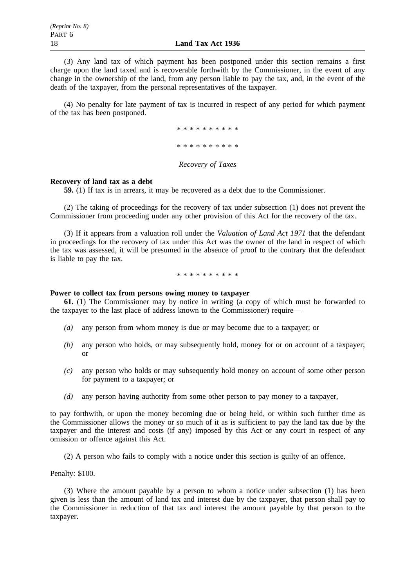(3) Any land tax of which payment has been postponed under this section remains a first charge upon the land taxed and is recoverable forthwith by the Commissioner, in the event of any change in the ownership of the land, from any person liable to pay the tax, and, in the event of the death of the taxpayer, from the personal representatives of the taxpayer.

(4) No penalty for late payment of tax is incurred in respect of any period for which payment of the tax has been postponed.

> \*\*\*\*\*\*\*\*\*\* \*\*\*\*\*\*\*\*\*\*

### *Recovery of Taxes*

### **Recovery of land tax as a debt**

**59.** (1) If tax is in arrears, it may be recovered as a debt due to the Commissioner.

(2) The taking of proceedings for the recovery of tax under subsection (1) does not prevent the Commissioner from proceeding under any other provision of this Act for the recovery of the tax.

(3) If it appears from a valuation roll under the *Valuation of Land Act 1971* that the defendant in proceedings for the recovery of tax under this Act was the owner of the land in respect of which the tax was assessed, it will be presumed in the absence of proof to the contrary that the defendant is liable to pay the tax.

\*\*\*\*\*\*\*\*\*\*

### **Power to collect tax from persons owing money to taxpayer**

**61.** (1) The Commissioner may by notice in writing (a copy of which must be forwarded to the taxpayer to the last place of address known to the Commissioner) require—

- *(a)* any person from whom money is due or may become due to a taxpayer; or
- *(b)* any person who holds, or may subsequently hold, money for or on account of a taxpayer; or
- *(c)* any person who holds or may subsequently hold money on account of some other person for payment to a taxpayer; or
- *(d)* any person having authority from some other person to pay money to a taxpayer,

to pay forthwith, or upon the money becoming due or being held, or within such further time as the Commissioner allows the money or so much of it as is sufficient to pay the land tax due by the taxpayer and the interest and costs (if any) imposed by this Act or any court in respect of any omission or offence against this Act.

(2) A person who fails to comply with a notice under this section is guilty of an offence.

Penalty: \$100.

(3) Where the amount payable by a person to whom a notice under subsection (1) has been given is less than the amount of land tax and interest due by the taxpayer, that person shall pay to the Commissioner in reduction of that tax and interest the amount payable by that person to the taxpayer.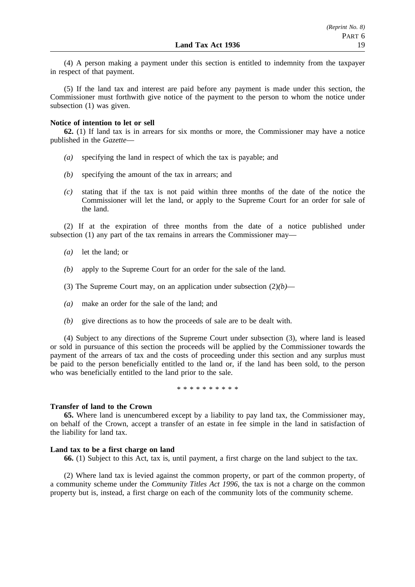(4) A person making a payment under this section is entitled to indemnity from the taxpayer in respect of that payment.

(5) If the land tax and interest are paid before any payment is made under this section, the Commissioner must forthwith give notice of the payment to the person to whom the notice under subsection (1) was given.

#### **Notice of intention to let or sell**

**62.** (1) If land tax is in arrears for six months or more, the Commissioner may have a notice published in the *Gazette*—

- *(a)* specifying the land in respect of which the tax is payable; and
- *(b)* specifying the amount of the tax in arrears; and
- *(c)* stating that if the tax is not paid within three months of the date of the notice the Commissioner will let the land, or apply to the Supreme Court for an order for sale of the land.

(2) If at the expiration of three months from the date of a notice published under subsection (1) any part of the tax remains in arrears the Commissioner may—

- *(a)* let the land; or
- *(b)* apply to the Supreme Court for an order for the sale of the land.
- (3) The Supreme Court may, on an application under subsection  $(2)(b)$ —
- *(a)* make an order for the sale of the land; and
- *(b)* give directions as to how the proceeds of sale are to be dealt with.

(4) Subject to any directions of the Supreme Court under subsection (3), where land is leased or sold in pursuance of this section the proceeds will be applied by the Commissioner towards the payment of the arrears of tax and the costs of proceeding under this section and any surplus must be paid to the person beneficially entitled to the land or, if the land has been sold, to the person who was beneficially entitled to the land prior to the sale.

\*\*\*\*\*\*\*\*\*\*

#### **Transfer of land to the Crown**

**65.** Where land is unencumbered except by a liability to pay land tax, the Commissioner may, on behalf of the Crown, accept a transfer of an estate in fee simple in the land in satisfaction of the liability for land tax.

#### **Land tax to be a first charge on land**

**66.** (1) Subject to this Act, tax is, until payment, a first charge on the land subject to the tax.

(2) Where land tax is levied against the common property, or part of the common property, of a community scheme under the *Community Titles Act 1996*, the tax is not a charge on the common property but is, instead, a first charge on each of the community lots of the community scheme.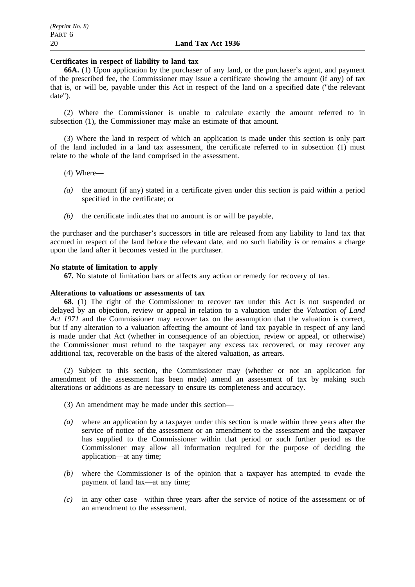### **Certificates in respect of liability to land tax**

**66A.** (1) Upon application by the purchaser of any land, or the purchaser's agent, and payment of the prescribed fee, the Commissioner may issue a certificate showing the amount (if any) of tax that is, or will be, payable under this Act in respect of the land on a specified date ("the relevant date").

(2) Where the Commissioner is unable to calculate exactly the amount referred to in subsection (1), the Commissioner may make an estimate of that amount.

(3) Where the land in respect of which an application is made under this section is only part of the land included in a land tax assessment, the certificate referred to in subsection (1) must relate to the whole of the land comprised in the assessment.

- (4) Where—
- *(a)* the amount (if any) stated in a certificate given under this section is paid within a period specified in the certificate; or
- *(b)* the certificate indicates that no amount is or will be payable,

the purchaser and the purchaser's successors in title are released from any liability to land tax that accrued in respect of the land before the relevant date, and no such liability is or remains a charge upon the land after it becomes vested in the purchaser.

### **No statute of limitation to apply**

**67.** No statute of limitation bars or affects any action or remedy for recovery of tax.

### **Alterations to valuations or assessments of tax**

**68.** (1) The right of the Commissioner to recover tax under this Act is not suspended or delayed by an objection, review or appeal in relation to a valuation under the *Valuation of Land Act 1971* and the Commissioner may recover tax on the assumption that the valuation is correct, but if any alteration to a valuation affecting the amount of land tax payable in respect of any land is made under that Act (whether in consequence of an objection, review or appeal, or otherwise) the Commissioner must refund to the taxpayer any excess tax recovered, or may recover any additional tax, recoverable on the basis of the altered valuation, as arrears.

(2) Subject to this section, the Commissioner may (whether or not an application for amendment of the assessment has been made) amend an assessment of tax by making such alterations or additions as are necessary to ensure its completeness and accuracy.

- (3) An amendment may be made under this section—
- *(a)* where an application by a taxpayer under this section is made within three years after the service of notice of the assessment or an amendment to the assessment and the taxpayer has supplied to the Commissioner within that period or such further period as the Commissioner may allow all information required for the purpose of deciding the application—at any time;
- *(b)* where the Commissioner is of the opinion that a taxpayer has attempted to evade the payment of land tax—at any time;
- *(c)* in any other case—within three years after the service of notice of the assessment or of an amendment to the assessment.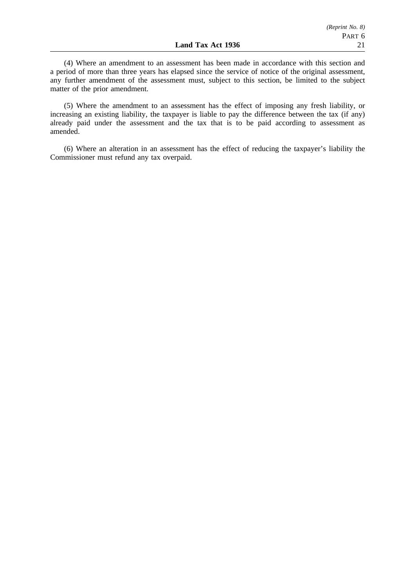(4) Where an amendment to an assessment has been made in accordance with this section and a period of more than three years has elapsed since the service of notice of the original assessment, any further amendment of the assessment must, subject to this section, be limited to the subject matter of the prior amendment.

(5) Where the amendment to an assessment has the effect of imposing any fresh liability, or increasing an existing liability, the taxpayer is liable to pay the difference between the tax (if any) already paid under the assessment and the tax that is to be paid according to assessment as amended.

(6) Where an alteration in an assessment has the effect of reducing the taxpayer's liability the Commissioner must refund any tax overpaid.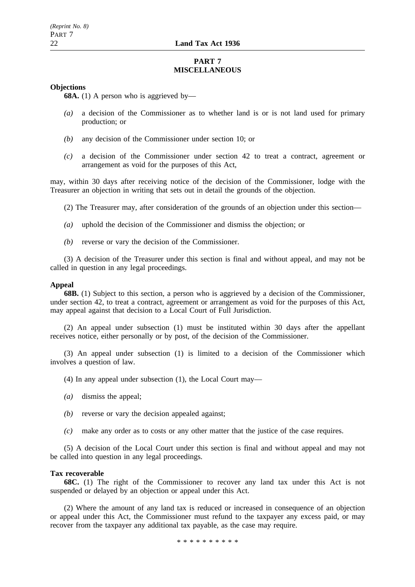## **PART 7 MISCELLANEOUS**

### **Objections**

**68A.** (1) A person who is aggrieved by—

- *(a)* a decision of the Commissioner as to whether land is or is not land used for primary production; or
- *(b)* any decision of the Commissioner under section 10; or
- *(c)* a decision of the Commissioner under section 42 to treat a contract, agreement or arrangement as void for the purposes of this Act,

may, within 30 days after receiving notice of the decision of the Commissioner, lodge with the Treasurer an objection in writing that sets out in detail the grounds of the objection.

- (2) The Treasurer may, after consideration of the grounds of an objection under this section—
- *(a)* uphold the decision of the Commissioner and dismiss the objection; or
- *(b)* reverse or vary the decision of the Commissioner.

(3) A decision of the Treasurer under this section is final and without appeal, and may not be called in question in any legal proceedings.

### **Appeal**

**68B.** (1) Subject to this section, a person who is aggrieved by a decision of the Commissioner, under section 42, to treat a contract, agreement or arrangement as void for the purposes of this Act, may appeal against that decision to a Local Court of Full Jurisdiction.

(2) An appeal under subsection (1) must be instituted within 30 days after the appellant receives notice, either personally or by post, of the decision of the Commissioner.

(3) An appeal under subsection (1) is limited to a decision of the Commissioner which involves a question of law.

(4) In any appeal under subsection (1), the Local Court may—

- *(a)* dismiss the appeal;
- *(b)* reverse or vary the decision appealed against;
- *(c)* make any order as to costs or any other matter that the justice of the case requires.

(5) A decision of the Local Court under this section is final and without appeal and may not be called into question in any legal proceedings.

#### **Tax recoverable**

**68C.** (1) The right of the Commissioner to recover any land tax under this Act is not suspended or delayed by an objection or appeal under this Act.

(2) Where the amount of any land tax is reduced or increased in consequence of an objection or appeal under this Act, the Commissioner must refund to the taxpayer any excess paid, or may recover from the taxpayer any additional tax payable, as the case may require.

\*\*\*\*\*\*\*\*\*\*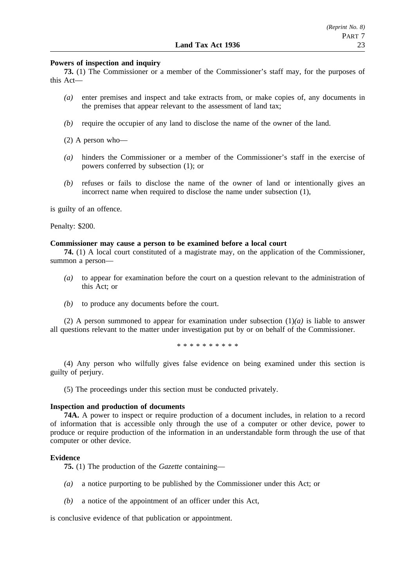### **Powers of inspection and inquiry**

**73.** (1) The Commissioner or a member of the Commissioner's staff may, for the purposes of this Act—

- *(a)* enter premises and inspect and take extracts from, or make copies of, any documents in the premises that appear relevant to the assessment of land tax;
- *(b)* require the occupier of any land to disclose the name of the owner of the land.

(2) A person who—

- *(a)* hinders the Commissioner or a member of the Commissioner's staff in the exercise of powers conferred by subsection (1); or
- *(b)* refuses or fails to disclose the name of the owner of land or intentionally gives an incorrect name when required to disclose the name under subsection (1),

is guilty of an offence.

Penalty: \$200.

#### **Commissioner may cause a person to be examined before a local court**

**74.** (1) A local court constituted of a magistrate may, on the application of the Commissioner, summon a person—

- *(a)* to appear for examination before the court on a question relevant to the administration of this Act; or
- *(b)* to produce any documents before the court.

(2) A person summoned to appear for examination under subsection  $(1)(a)$  is liable to answer all questions relevant to the matter under investigation put by or on behalf of the Commissioner.

\*\*\*\*\*\*\*\*\*\*

(4) Any person who wilfully gives false evidence on being examined under this section is guilty of perjury.

(5) The proceedings under this section must be conducted privately.

#### **Inspection and production of documents**

**74A.** A power to inspect or require production of a document includes, in relation to a record of information that is accessible only through the use of a computer or other device, power to produce or require production of the information in an understandable form through the use of that computer or other device.

#### **Evidence**

**75.** (1) The production of the *Gazette* containing—

- *(a)* a notice purporting to be published by the Commissioner under this Act; or
- *(b)* a notice of the appointment of an officer under this Act,

is conclusive evidence of that publication or appointment.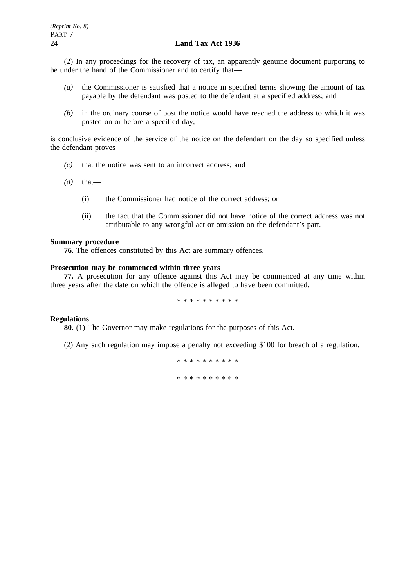(2) In any proceedings for the recovery of tax, an apparently genuine document purporting to be under the hand of the Commissioner and to certify that—

- *(a)* the Commissioner is satisfied that a notice in specified terms showing the amount of tax payable by the defendant was posted to the defendant at a specified address; and
- *(b)* in the ordinary course of post the notice would have reached the address to which it was posted on or before a specified day,

is conclusive evidence of the service of the notice on the defendant on the day so specified unless the defendant proves—

- *(c)* that the notice was sent to an incorrect address; and
- $(d)$  that—
	- (i) the Commissioner had notice of the correct address; or
	- (ii) the fact that the Commissioner did not have notice of the correct address was not attributable to any wrongful act or omission on the defendant's part.

#### **Summary procedure**

**76.** The offences constituted by this Act are summary offences.

### **Prosecution may be commenced within three years**

**77.** A prosecution for any offence against this Act may be commenced at any time within three years after the date on which the offence is alleged to have been committed.

\*\*\*\*\*\*\*\*\*\*

### **Regulations**

**80.** (1) The Governor may make regulations for the purposes of this Act.

(2) Any such regulation may impose a penalty not exceeding \$100 for breach of a regulation.

\*\*\*\*\*\*\*\*\*\* \*\*\*\*\*\*\*\*\*\*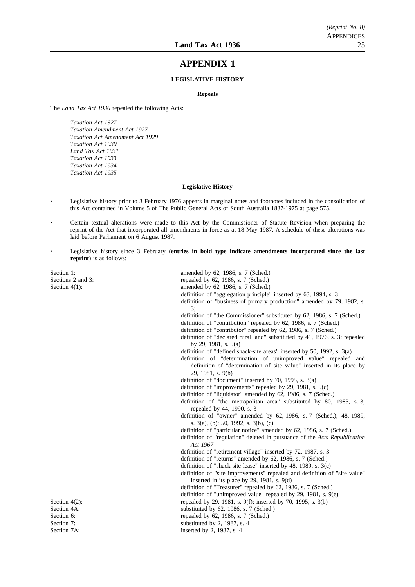## **APPENDIX 1**

#### **LEGISLATIVE HISTORY**

#### **Repeals**

The *Land Tax Act 1936* repealed the following Acts:

*Taxation Act 1927 Taxation Amendment Act 1927 Taxation Act Amendment Act 1929 Taxation Act 1930 Land Tax Act 1931 Taxation Act 1933 Taxation Act 1934 Taxation Act 1935*

#### **Legislative History**

Legislative history prior to 3 February 1976 appears in marginal notes and footnotes included in the consolidation of this Act contained in Volume 5 of The Public General Acts of South Australia 1837-1975 at page 575.

Certain textual alterations were made to this Act by the Commissioner of Statute Revision when preparing the reprint of the Act that incorporated all amendments in force as at 18 May 1987. A schedule of these alterations was laid before Parliament on 6 August 1987.

Legislative history since 3 February (**entries in bold type indicate amendments incorporated since the last reprint**) is as follows:

Section 1: amended by 62, 1986, s. 7 (Sched.)<br>Sections 2 and 3: The section of the section of the section of the section of the section of the section of the section of the section of the section of the section of the sect

repealed by  $62$ , 1986, s. 7 (Sched.) Section 4(1): amended by 62, 1986, s. 7 (Sched.) definition of "aggregation principle" inserted by 63, 1994, s. 3 definition of "business of primary production" amended by 79, 1982, s. 3; definition of "the Commissioner" substituted by 62, 1986, s. 7 (Sched.) definition of "contribution" repealed by 62, 1986, s. 7 (Sched.) definition of "contributor" repealed by 62, 1986, s. 7 (Sched.) definition of "declared rural land" substituted by 41, 1976, s. 3; repealed by 29, 1981, s. 9(a) definition of "defined shack-site areas" inserted by 50, 1992, s. 3(a) definition of "determination of unimproved value" repealed and definition of "determination of site value" inserted in its place by 29, 1981, s. 9(b) definition of "document" inserted by 70, 1995, s. 3(a) definition of "improvements" repealed by 29, 1981, s. 9(c) definition of "liquidator" amended by 62, 1986, s. 7 (Sched.) definition of "the metropolitan area" substituted by 80, 1983, s. 3; repealed by 44, 1990, s. 3 definition of "owner" amended by 62, 1986, s. 7 (Sched.); 48, 1989, s. 3(a), (b); 50, 1992, s. 3(b), (c) definition of "particular notice" amended by 62, 1986, s. 7 (Sched.) definition of "regulation" deleted in pursuance of the *Acts Republication Act 1967* definition of "retirement village" inserted by 72, 1987, s. 3 definition of "returns" amended by 62, 1986, s. 7 (Sched.) definition of "shack site lease" inserted by 48, 1989, s. 3(c) definition of "site improvements" repealed and definition of "site value" inserted in its place by 29, 1981, s. 9(d) definition of "Treasurer" repealed by 62, 1986, s. 7 (Sched.) definition of "unimproved value" repealed by 29, 1981, s. 9(e) Section 4(2):<br>
Section 4A:<br>
Section 4A:<br>
Section 4A:<br>
Section 4A:<br>
Section 4A: substituted by  $62$ , 1986, s. 7 (Sched.) Section 6: repealed by 62, 1986, s. 7 (Sched.) Section 7: substituted by 2, 1987, s. 4<br>Section 7A: substituted by 2, 1987, s. 4 inserted by  $2$ , 1987, s. 4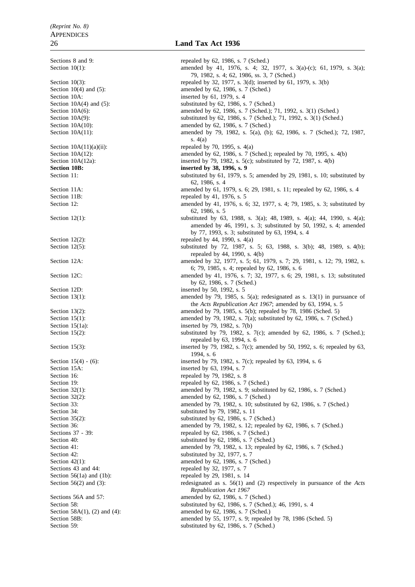Section 10A: inserted by 61, 1979, s. 4<br>Section 10A(4) and (5): substituted by 62, 1986, s **Section 10B: inserted by 38, 1996, s. 9** Section 11B: repealed by 41, 1976, s. 5 Section 12D: inserted by 50, 1992, s. 5 Section 15A: inserted by 63, 1994, s. 7 Section 16: repealed by 79, 1982, s. 8 Sections 43 and 44: repealed by 32, 1977, s. 7 Section 56(1a) and (1b): repealed by 29, 1981, s.  $14$ 

### 26 **Land Tax Act 1936**

Sections 8 and 9: repealed by 62, 1986, s. 7 (Sched.) Section 10(1): amended by 41, 1976, s. 4; 32, 1977, s. 3(a)-(c); 61, 1979, s. 3(a); 79, 1982, s. 4; 62, 1986, ss. 3, 7 (Sched.) Section 10(3): repealed by 32, 1977, s. 3(d); inserted by 61, 1979, s. 3(b) Section 10(4) and (5): amended by 62, 1986, s. 7 (Sched.) substituted by  $62$ , 1986, s. 7 (Sched.) Section 10A(6): amended by 62, 1986, s. 7 (Sched.); 71, 1992, s. 3(1) (Sched.) Section 10A(9):<br>Section 10A(10):<br>Section 10A(10):<br>Section 10A(10):<br>Section 10A(10): amended by 62, 1986, s. 7 (Sched.) Section 10A(11): amended by 79, 1982, s. 5(a), (b); 62, 1986, s. 7 (Sched.); 72, 1987, s. 4(a) Section  $10A(11)(a)(ii)$ : repealed by 70, 1995, s.  $4(a)$ Section 10A(12): amended by 62, 1986, s. 7 (Sched.); repealed by 70, 1995, s. 4(b) Section 10A(12a): inserted by 79, 1982, s. 5(c); substituted by 72, 1987, s. 4(b) Section 11: substituted by 61, 1979, s. 5; amended by 29, 1981, s. 10; substituted by  $\frac{1}{2}$ 62, 1986, s. 4 Section 11A: amended by 61, 1979, s. 6; 29, 1981, s. 11; repealed by 62, 1986, s. 4 Section 12: amended by 41, 1976, s. 6; 32, 1977, s. 4; 79, 1985, s. 3; substituted by 62, 1986, s. 5 Section 12(1): substituted by 63, 1988, s. 3(a); 48, 1989, s. 4(a); 44, 1990, s. 4(a); amended by 46, 1991, s. 3; substituted by 50, 1992, s. 4; amended by 77, 1993, s. 3; substituted by 63, 1994, s. 4 Section 12(2): repealed by 44, 1990, s.  $4(a)$ Section 12(5): substituted by 72, 1987, s. 5; 63, 1988, s. 3(b); 48, 1989, s. 4(b); 48, 1989, s. 4(b); repealed by 44, 1990, s. 4(b) Section 12A: amended by 32, 1977, s. 5; 61, 1979, s. 7; 29, 1981, s. 12; 79, 1982, s. 6; 79, 1985, s. 4; repealed by 62, 1986, s. 6 Section 12C: amended by 41, 1976, s. 7; 32, 1977, s. 6; 29, 1981, s. 13; substituted by 62, 1986, s. 7 (Sched.) Section 13(1): amended by 79, 1985, s. 5(a); redesignated as s. 13(1) in pursuance of the *Acts Republication Act 1967*; amended by 63, 1994, s. 5 Section 13(2): amended by 79, 1985, s. 5(b); repealed by 78, 1986 (Sched. 5) Section 15(1): amended by 79, 1982, s. 7(a); substituted by 62, 1986, s. 7 (Sched.) Section 15(1a): inserted by 79, 1982, s.  $7(b)$ Section 15(2): substituted by 79, 1982, s. 7(c); amended by 62, 1986, s. 7 (Sched.); repealed by 63, 1994, s. 6 Section 15(3): inserted by 79, 1982, s. 7(c); amended by 50, 1992, s. 6; repealed by 63, 1994, s. 6 Section 15(4) - (6): inserted by 79, 1982, s. 7(c); repealed by 63, 1994, s. 6 Section 19: repealed by 62, 1986, s. 7 (Sched.) Section 32(1): amended by 79, 1982, s. 9; substituted by 62, 1986, s. 7 (Sched.) Section 32(2): amended by 62, 1986, s. 7 (Sched.) Section 33: amended by 79, 1982, s. 10; substituted by 62, 1986, s. 7 (Sched.) Section 34: substituted by 79, 1982, s. 11 Section 35(2): substituted by 62, 1986, s. 7 (Sched.) Section 36: **amended by 79, 1982, s. 12; repealed by 62, 1986, s. 7 (Sched.)** Sections 37 - 39: repealed by 62, 1986, s. 7 (Sched.) Section 40: substituted by 62, 1986, s. 7 (Sched.) Section 41: **amended by 79, 1982, s. 13; repealed by 62, 1986, s. 7 (Sched.)** Section 42: substituted by 32, 1977, s. 7 Section 42(1): amended by 62, 1986, s. 7 (Sched.) Section 56(2) and (3): redesignated as s. 56(1) and (2) respectively in pursuance of the *Acts Republication Act 1967* Sections 56A and 57: amended by 62, 1986, s. 7 (Sched.) Section 58: substituted by 62, 1986, s. 7 (Sched.); 46, 1991, s. 4 Section 58A(1), (2) and (4): amended by 62, 1986, s. 7 (Sched.)<br>Section 58B: amended by 55, 1977, s. 9; repealed amended by 55, 1977, s. 9; repealed by 78, 1986 (Sched. 5) Section 59: substituted by 62, 1986, s. 7 (Sched.)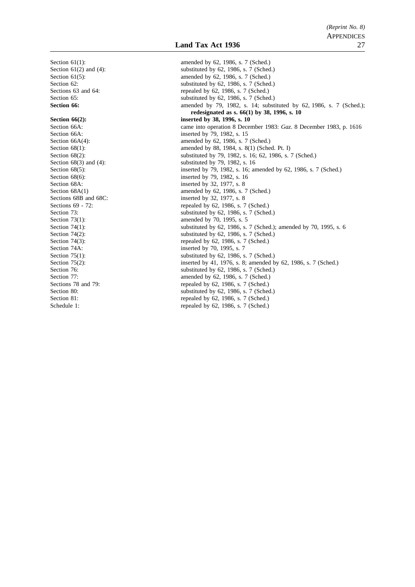Section 61(1): amended by 62, 1986, s. 7 (Sched.) Section 61(2) and (4): substituted by 62, 1986, s. 7 (Sched.)<br>Section 61(5): substituted by 62, 1986, s. 7 (Sched.) amended by 62, 1986, s. 7 (Sched.) Section 62: substituted by 62, 1986, s. 7 (Sched.) Sections 63 and 64: repealed by 62, 1986, s. 7 (Sched.) Section 65: substituted by 62, 1986, s. 7 (Sched.) **Section 66: amended** by 79, 1982, s. 14; substituted by 62, 1986, s. 7 (Sched.); **redesignated as s. 66(1) by 38, 1996, s. 10 Section 66(2):** inserted by 38, 1996, s. 10 Section 66A: came into operation 8 December 1983: *Gaz*. 8 December 1983, p. 1616<br>Section 66A: inserted by 79, 1982, s. 15 inserted by 79, 1982, s. 15 Section 66A(4): amended by 62, 1986, s. 7 (Sched.) Section 68(1): <br>
Section 68(2): <br>
Section 68(2): <br>
Section 68(2): <br>
Section 68(2): <br>
Section 68(2): substituted by 79, 1982, s. 16; 62, 1986, s. 7 (Sched.) Section 68(3) and (4): substituted by 79, 1982, s. 16 Section 68(5): inserted by 79, 1982, s. 16; amended by 62, 1986, s. 7 (Sched.) Section 68(6): inserted by 79, 1982, s. 16 Section 68A: inserted by 32, 1977, s. 8 Section 68A(1) amended by 62, 1986, s. 7 (Sched.)<br>Sections 68B and 68C: inserted by 32, 1977, s. 8 inserted by 32, 1977, s.  $8$ Sections 69 - 72: repealed by 62, 1986, s. 7 (Sched.) Section 73: substituted by 62, 1986, s. 7 (Sched.)<br>Section 73(1): substituted by 70, 1995, s. 5 amended by 70, 1995, s. 5 Section 74(1): substituted by 62, 1986, s. 7 (Sched.); amended by 70, 1995, s. 6 Section 74(2):<br>Section 74(3):<br>Section 74(3):<br>Section 74(3):<br>Section 74(3): repealed by  $62$ , 1986, s. 7 (Sched.) Section 74A: inserted by 70, 1995, s. 7 Section 75(1):<br>Section 75(2):<br>Section 75(2):<br>Section 75(2):<br>Section 75(2): Section 75(2): inserted by 41, 1976, s. 8; amended by 62, 1986, s. 7 (Sched.)<br>Section 76: substituted by 62, 1986, s. 7 (Sched.) substituted by 62, 1986, s. 7 (Sched.) Section 77: amended by 62, 1986, s. 7 (Sched.)<br>Sections 78 and 79: repealed by 62, 1986, s. 7 (Sched.) repealed by 62, 1986, s. 7 (Sched.) Section 80: substituted by 62, 1986, s. 7 (Sched.) Section 81: repealed by 62, 1986, s. 7 (Sched.) Schedule 1: repealed by 62, 1986, s. 7 (Sched.)